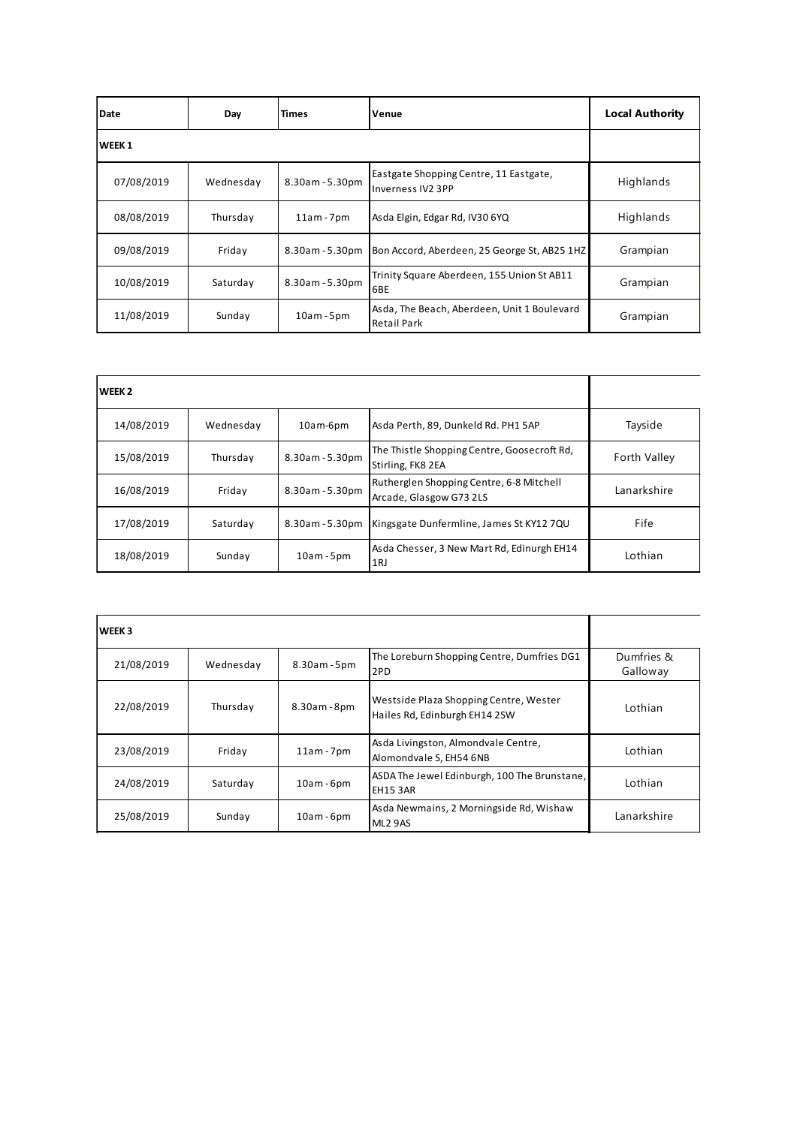| Date              | Day       | <b>Times</b>    | Venue                                                             | <b>Local Authority</b> |
|-------------------|-----------|-----------------|-------------------------------------------------------------------|------------------------|
| WEEK <sub>1</sub> |           |                 |                                                                   |                        |
| 07/08/2019        | Wednesday | 8.30am - 5.30pm | Eastgate Shopping Centre, 11 Eastgate,<br>Inverness IV2 3PP       | Highlands              |
| 08/08/2019        | Thursday  | $11am - 7pm$    | Asda Elgin, Edgar Rd, IV30 6YQ                                    | Highlands              |
| 09/08/2019        | Friday    | 8.30am - 5.30pm | Bon Accord, Aberdeen, 25 George St, AB25 1HZ                      | Grampian               |
| 10/08/2019        | Saturday  | 8.30am - 5.30pm | Trinity Square Aberdeen, 155 Union St AB11<br>6BE                 | Grampian               |
| 11/08/2019        | Sunday    | $10am - 5pm$    | Asda, The Beach, Aberdeen, Unit 1 Boulevard<br><b>Retail Park</b> | Grampian               |

| WEEK <sub>2</sub> |           |                 |                                                                     |              |
|-------------------|-----------|-----------------|---------------------------------------------------------------------|--------------|
| 14/08/2019        | Wednesday | 10am-6pm        | Asda Perth, 89, Dunkeld Rd. PH1 5AP                                 | Tayside      |
| 15/08/2019        | Thursday  | 8.30am - 5.30pm | The Thistle Shopping Centre, Goosecroft Rd,<br>Stirling, FK8 2EA    | Forth Valley |
| 16/08/2019        | Friday    | 8.30am - 5.30pm | Rutherglen Shopping Centre, 6-8 Mitchell<br>Arcade, Glasgow G73 2LS | Lanarkshire  |
| 17/08/2019        | Saturday  | 8.30am - 5.30pm | Kingsgate Dunfermline, James St KY12 7QU                            | Fife         |
| 18/08/2019        | Sunday    | $10am - 5pm$    | Asda Chesser, 3 New Mart Rd, Edinurgh EH14<br>1RJ                   | Lothian      |

| <b>WEEK3</b> |           |              |                                                                         |                        |
|--------------|-----------|--------------|-------------------------------------------------------------------------|------------------------|
| 21/08/2019   | Wednesday | 8.30am - 5pm | The Loreburn Shopping Centre, Dumfries DG1<br>2PD                       | Dumfries &<br>Galloway |
| 22/08/2019   | Thursday  | 8.30am - 8pm | Westside Plaza Shopping Centre, Wester<br>Hailes Rd, Edinburgh EH14 2SW | Lothian                |
| 23/08/2019   | Friday    | $11am - 7pm$ | Asda Livingston, Almondvale Centre,<br>Alomondvale S, EH54 6NB          | Lothian                |
| 24/08/2019   | Saturday  | $10am - 6pm$ | ASDA The Jewel Edinburgh, 100 The Brunstane,<br><b>EH15 3AR</b>         | Lothian                |
| 25/08/2019   | Sunday    | $10am - 6pm$ | Asda Newmains, 2 Morningside Rd, Wishaw<br>ML <sub>2</sub> 9AS          | Lanarkshire            |